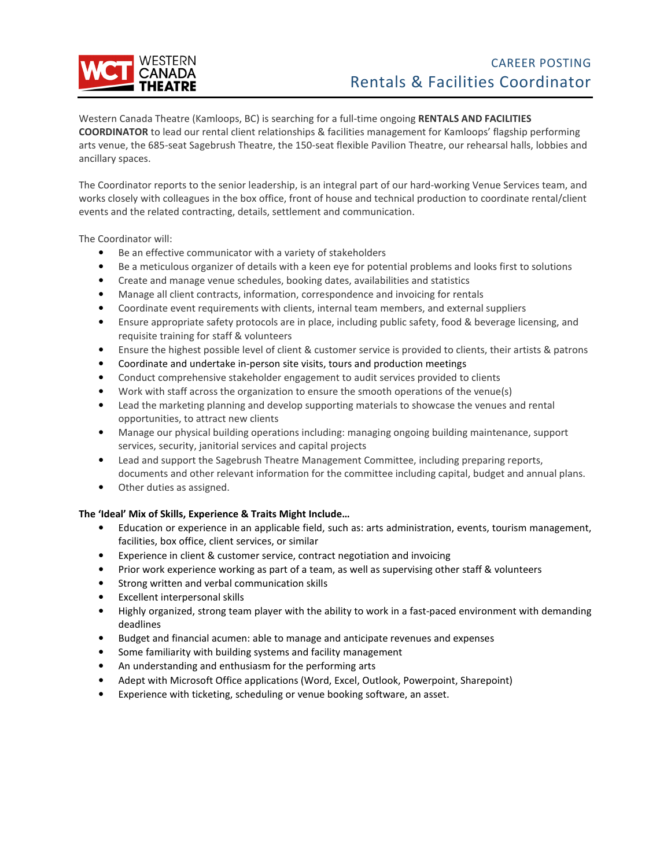

Western Canada Theatre (Kamloops, BC) is searching for a full-time ongoing **RENTALS AND FACILITIES COORDINATOR** to lead our rental client relationships & facilities management for Kamloops' flagship performing arts venue, the 685-seat Sagebrush Theatre, the 150-seat flexible Pavilion Theatre, our rehearsal halls, lobbies and ancillary spaces.

The Coordinator reports to the senior leadership, is an integral part of our hard-working Venue Services team, and works closely with colleagues in the box office, front of house and technical production to coordinate rental/client events and the related contracting, details, settlement and communication.

The Coordinator will:

- Be an effective communicator with a variety of stakeholders
- Be a meticulous organizer of details with a keen eye for potential problems and looks first to solutions
- Create and manage venue schedules, booking dates, availabilities and statistics
- Manage all client contracts, information, correspondence and invoicing for rentals
- Coordinate event requirements with clients, internal team members, and external suppliers
- Ensure appropriate safety protocols are in place, including public safety, food & beverage licensing, and requisite training for staff & volunteers
- Ensure the highest possible level of client & customer service is provided to clients, their artists & patrons
- Coordinate and undertake in-person site visits, tours and production meetings
- Conduct comprehensive stakeholder engagement to audit services provided to clients
- Work with staff across the organization to ensure the smooth operations of the venue(s)
- Lead the marketing planning and develop supporting materials to showcase the venues and rental opportunities, to attract new clients
- Manage our physical building operations including: managing ongoing building maintenance, support services, security, janitorial services and capital projects
- Lead and support the Sagebrush Theatre Management Committee, including preparing reports, documents and other relevant information for the committee including capital, budget and annual plans.
- Other duties as assigned.

# **The 'Ideal' Mix of Skills, Experience & Traits Might Include…**

- Education or experience in an applicable field, such as: arts administration, events, tourism management, facilities, box office, client services, or similar
- Experience in client & customer service, contract negotiation and invoicing
- Prior work experience working as part of a team, as well as supervising other staff & volunteers
- Strong written and verbal communication skills
- Excellent interpersonal skills
- Highly organized, strong team player with the ability to work in a fast-paced environment with demanding deadlines
- Budget and financial acumen: able to manage and anticipate revenues and expenses
- Some familiarity with building systems and facility management
- An understanding and enthusiasm for the performing arts
- Adept with Microsoft Office applications (Word, Excel, Outlook, Powerpoint, Sharepoint)
- Experience with ticketing, scheduling or venue booking software, an asset.